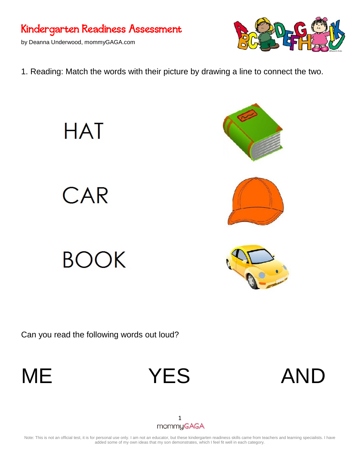### Kindergarten Readiness Assessment

by Deanna Underwood, mommyGAGA.com



1. Reading: Match the words with their picture by drawing a line to connect the two.

CAR

**HAT** 

# BOOK

Can you read the following words out loud?









## 1<br>mommyGAGA

Note: This is not an official test, it is for personal use only. I am not an educator, but these kindergarten readiness skills came from teachers and learning specialists. I have added some of my own ideas that my son demonstrates, which I feel fit well in each category.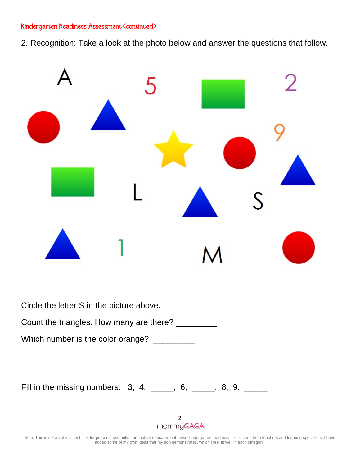#### Kindergarten Readiness Assessment (continued)

2. Recognition: Take a look at the photo below and answer the questions that follow.



Fill in the missing numbers:  $3, 4,$  \_\_\_\_, 6, \_\_\_\_, 8, 9, \_\_\_\_

2<br>mommyGAGA

Note: This is not an official test, it is for personal use only. I am not an educator, but these kindergarten readiness skills came from teachers and learning specialists. I have added some of my own ideas that my son demonstrates, which I feel fit well in each category.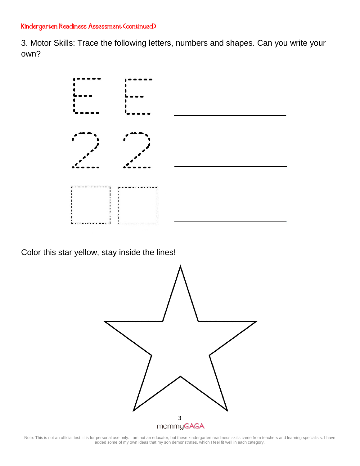#### Kindergarten Readiness Assessment (continued)

3. Motor Skills: Trace the following letters, numbers and shapes. Can you write your own?



Color this star yellow, stay inside the lines!



Note: This is not an official test, it is for personal use only. I am not an educator, but these kindergarten readiness skills came from teachers and learning specialists. I have added some of my own ideas that my son demonstrates, which I feel fit well in each category.